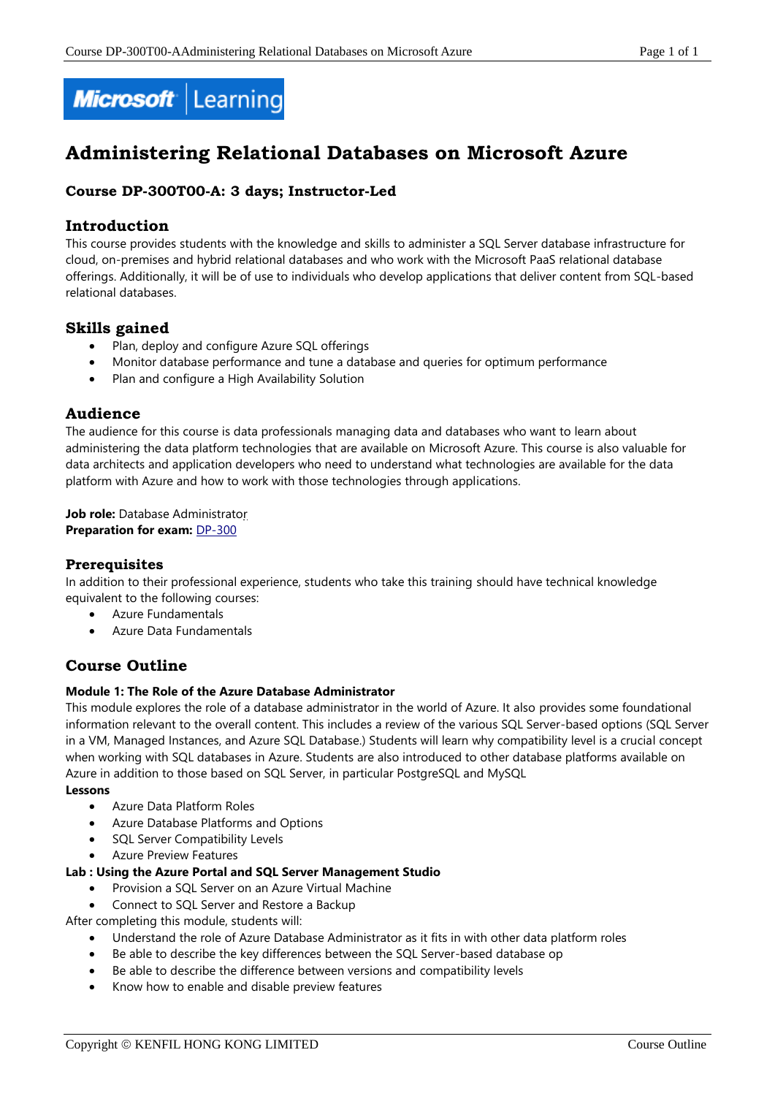

# **Administering Relational Databases on Microsoft Azure**

# **Course DP-300T00-A: 3 days; Instructor-Led**

#### **Introduction**

This course provides students with the knowledge and skills to administer a SQL Server database infrastructure for cloud, on-premises and hybrid relational databases and who work with the Microsoft PaaS relational database offerings. Additionally, it will be of use to individuals who develop applications that deliver content from SQL-based relational databases.

# **Skills gained**

- Plan, deploy and configure Azure SQL offerings
- Monitor database performance and tune a database and queries for optimum performance
- Plan and configure a High Availability Solution

#### **Audience**

The audience for this course is data professionals managing data and databases who want to learn about administering the data platform technologies that are available on Microsoft Azure. This course is also valuable for data architects and application developers who need to understand what technologies are available for the data platform with Azure and how to work with those technologies through applications.

**Job role:** Database Administrator **Preparation for exam: [DP-300](https://docs.microsoft.com/en-us/learn/certifications/exams/dp-300)** 

#### **Prerequisites**

In addition to their professional experience, students who take this training should have technical knowledge equivalent to the following courses:

- Azure Fundamentals
- Azure Data Fundamentals

# **Course Outline**

#### **Module 1: The Role of the Azure Database Administrator**

This module explores the role of a database administrator in the world of Azure. It also provides some foundational information relevant to the overall content. This includes a review of the various SQL Server-based options (SQL Server in a VM, Managed Instances, and Azure SQL Database.) Students will learn why compatibility level is a crucial concept when working with SQL databases in Azure. Students are also introduced to other database platforms available on Azure in addition to those based on SQL Server, in particular PostgreSQL and MySQL

#### **Lessons**

- Azure Data Platform Roles
- Azure Database Platforms and Options
- SQL Server Compatibility Levels
- Azure Preview Features

#### **Lab : Using the Azure Portal and SQL Server Management Studio**

- Provision a SQL Server on an Azure Virtual Machine
- Connect to SQL Server and Restore a Backup

After completing this module, students will:

- Understand the role of Azure Database Administrator as it fits in with other data platform roles
- Be able to describe the key differences between the SQL Server-based database op
- Be able to describe the difference between versions and compatibility levels
- Know how to enable and disable preview features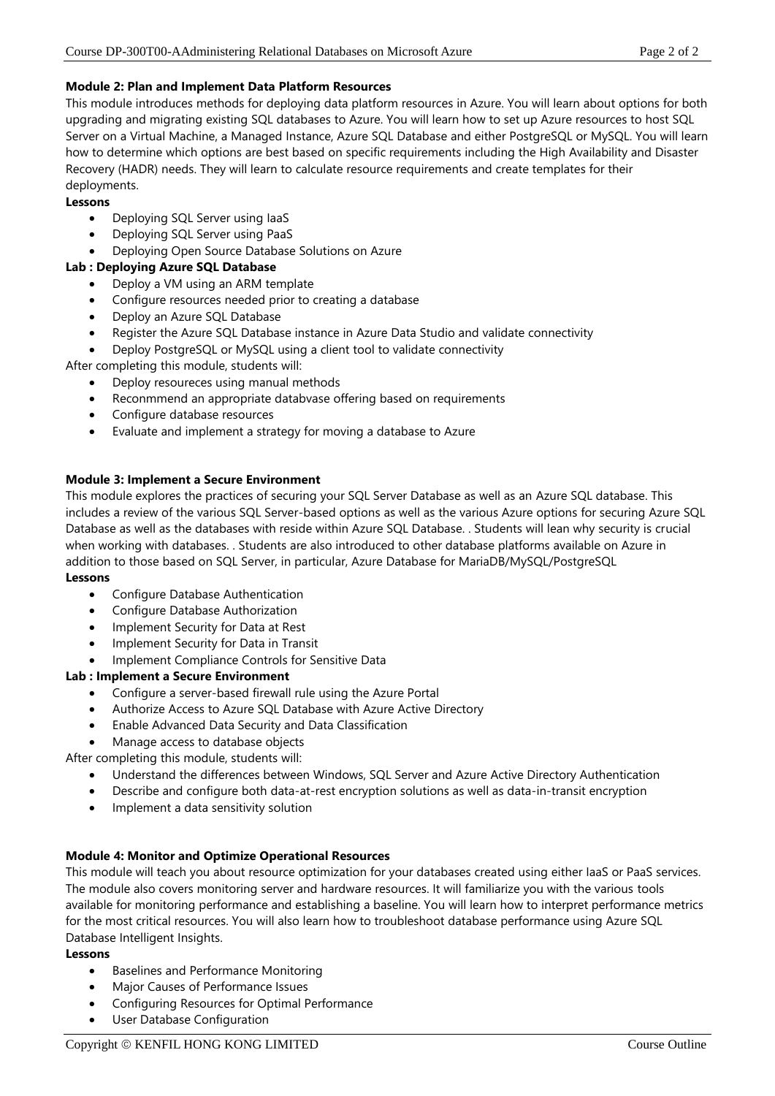#### **Module 2: Plan and Implement Data Platform Resources**

This module introduces methods for deploying data platform resources in Azure. You will learn about options for both upgrading and migrating existing SQL databases to Azure. You will learn how to set up Azure resources to host SQL Server on a Virtual Machine, a Managed Instance, Azure SQL Database and either PostgreSQL or MySQL. You will learn how to determine which options are best based on specific requirements including the High Availability and Disaster Recovery (HADR) needs. They will learn to calculate resource requirements and create templates for their deployments.

#### **Lessons**

- Deploying SQL Server using IaaS
- Deploying SQL Server using PaaS
- Deploying Open Source Database Solutions on Azure

#### **Lab : Deploying Azure SQL Database**

- Deploy a VM using an ARM template
- Configure resources needed prior to creating a database
- Deploy an Azure SQL Database
- Register the Azure SQL Database instance in Azure Data Studio and validate connectivity
- Deploy PostgreSQL or MySQL using a client tool to validate connectivity

After completing this module, students will:

- Deploy resoureces using manual methods
- Reconmmend an appropriate databvase offering based on requirements
- Configure database resources
- Evaluate and implement a strategy for moving a database to Azure

#### **Module 3: Implement a Secure Environment**

This module explores the practices of securing your SQL Server Database as well as an Azure SQL database. This includes a review of the various SQL Server-based options as well as the various Azure options for securing Azure SQL Database as well as the databases with reside within Azure SQL Database. . Students will lean why security is crucial when working with databases. . Students are also introduced to other database platforms available on Azure in addition to those based on SQL Server, in particular, Azure Database for MariaDB/MySQL/PostgreSQL

#### **Lessons**

- Configure Database Authentication
- Configure Database Authorization
- Implement Security for Data at Rest
- Implement Security for Data in Transit
- Implement Compliance Controls for Sensitive Data

#### **Lab : Implement a Secure Environment**

- Configure a server-based firewall rule using the Azure Portal
- Authorize Access to Azure SQL Database with Azure Active Directory
- Enable Advanced Data Security and Data Classification
- Manage access to database objects

After completing this module, students will:

- Understand the differences between Windows, SQL Server and Azure Active Directory Authentication
- Describe and configure both data-at-rest encryption solutions as well as data-in-transit encryption
- Implement a data sensitivity solution

## **Module 4: Monitor and Optimize Operational Resources**

This module will teach you about resource optimization for your databases created using either IaaS or PaaS services. The module also covers monitoring server and hardware resources. It will familiarize you with the various tools available for monitoring performance and establishing a baseline. You will learn how to interpret performance metrics for the most critical resources. You will also learn how to troubleshoot database performance using Azure SQL Database Intelligent Insights.

#### **Lessons**

- Baselines and Performance Monitoring
- Major Causes of Performance Issues
- Configuring Resources for Optimal Performance
- User Database Configuration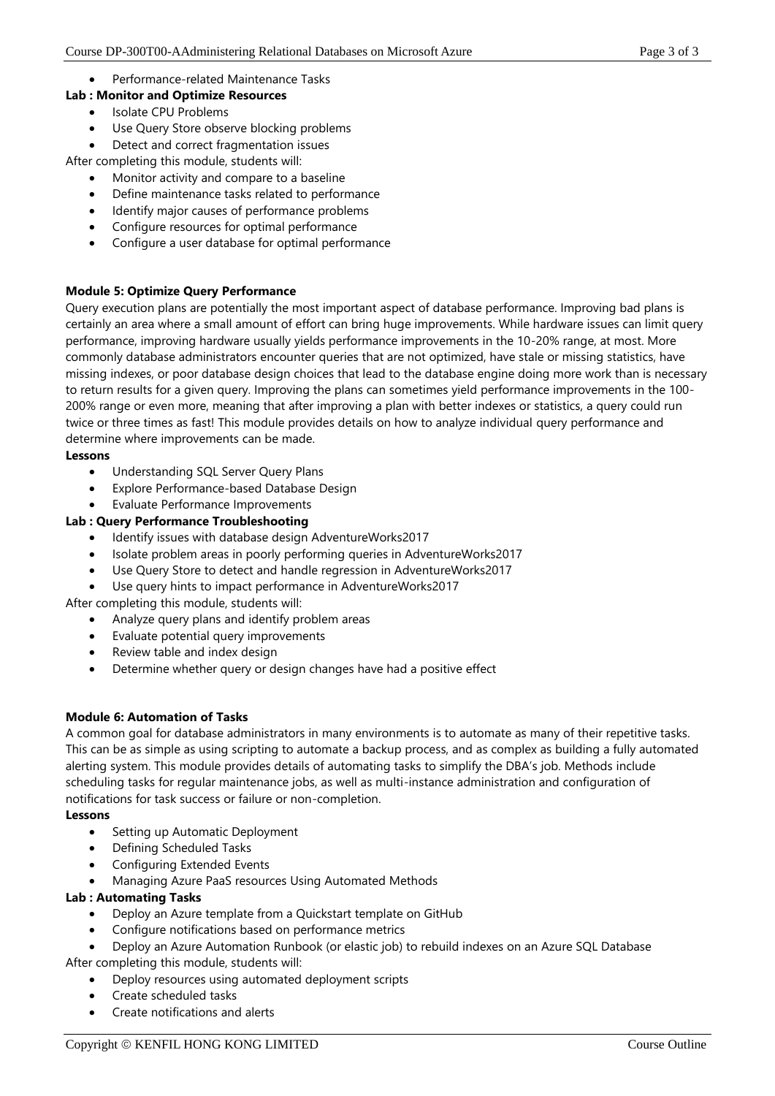Performance-related Maintenance Tasks

### **Lab : Monitor and Optimize Resources**

- Isolate CPU Problems
- Use Query Store observe blocking problems
- Detect and correct fragmentation issues

After completing this module, students will:

- Monitor activity and compare to a baseline
- Define maintenance tasks related to performance
- Identify major causes of performance problems
- Configure resources for optimal performance
- Configure a user database for optimal performance

#### **Module 5: Optimize Query Performance**

Query execution plans are potentially the most important aspect of database performance. Improving bad plans is certainly an area where a small amount of effort can bring huge improvements. While hardware issues can limit query performance, improving hardware usually yields performance improvements in the 10-20% range, at most. More commonly database administrators encounter queries that are not optimized, have stale or missing statistics, have missing indexes, or poor database design choices that lead to the database engine doing more work than is necessary to return results for a given query. Improving the plans can sometimes yield performance improvements in the 100- 200% range or even more, meaning that after improving a plan with better indexes or statistics, a query could run twice or three times as fast! This module provides details on how to analyze individual query performance and determine where improvements can be made.

#### **Lessons**

- Understanding SQL Server Query Plans
- Explore Performance-based Database Design
- Evaluate Performance Improvements

#### **Lab : Query Performance Troubleshooting**

- Identify issues with database design AdventureWorks2017
- Isolate problem areas in poorly performing queries in AdventureWorks2017
- Use Query Store to detect and handle regression in AdventureWorks2017
- Use query hints to impact performance in AdventureWorks2017

After completing this module, students will:

- Analyze query plans and identify problem areas
- Evaluate potential query improvements
- Review table and index design
- Determine whether query or design changes have had a positive effect

#### **Module 6: Automation of Tasks**

A common goal for database administrators in many environments is to automate as many of their repetitive tasks. This can be as simple as using scripting to automate a backup process, and as complex as building a fully automated alerting system. This module provides details of automating tasks to simplify the DBA's job. Methods include scheduling tasks for regular maintenance jobs, as well as multi-instance administration and configuration of notifications for task success or failure or non-completion.

#### **Lessons**

- Setting up Automatic Deployment
- Defining Scheduled Tasks
- Configuring Extended Events
- Managing Azure PaaS resources Using Automated Methods

#### **Lab : Automating Tasks**

- Deploy an Azure template from a Quickstart template on GitHub
- Configure notifications based on performance metrics
- Deploy an Azure Automation Runbook (or elastic job) to rebuild indexes on an Azure SQL Database After completing this module, students will:
	- Deploy resources using automated deployment scripts
	- Create scheduled tasks
	- Create notifications and alerts